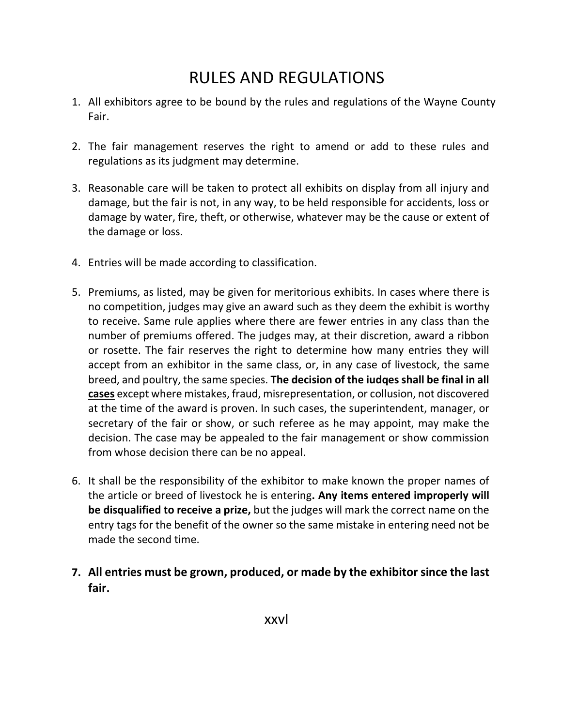# RULES AND REGULATIONS

- 1. All exhibitors agree to be bound by the rules and regulations of the Wayne County Fair.
- 2. The fair management reserves the right to amend or add to these rules and regulations as its judgment may determine.
- 3. Reasonable care will be taken to protect all exhibits on display from all injury and damage, but the fair is not, in any way, to be held responsible for accidents, loss or damage by water, fire, theft, or otherwise, whatever may be the cause or extent of the damage or loss.
- 4. Entries will be made according to classification.
- 5. Premiums, as listed, may be given for meritorious exhibits. In cases where there is no competition, judges may give an award such as they deem the exhibit is worthy to receive. Same rule applies where there are fewer entries in any class than the number of premiums offered. The judges may, at their discretion, award a ribbon or rosette. The fair reserves the right to determine how many entries they will accept from an exhibitor in the same class, or, in any case of livestock, the same breed, and poultry, the same species. **The decision of the iudqes shall be final in all cases** except where mistakes, fraud, misrepresentation, or collusion, not discovered at the time of the award is proven. In such cases, the superintendent, manager, or secretary of the fair or show, or such referee as he may appoint, may make the decision. The case may be appealed to the fair management or show commission from whose decision there can be no appeal.
- 6. It shall be the responsibility of the exhibitor to make known the proper names of the article or breed of livestock he is entering**. Any items entered improperly will be disqualified to receive a prize,** but the judges will mark the correct name on the entry tags for the benefit of the owner so the same mistake in entering need not be made the second time.
- **7. All entries must be grown, produced, or made by the exhibitor since the last fair.**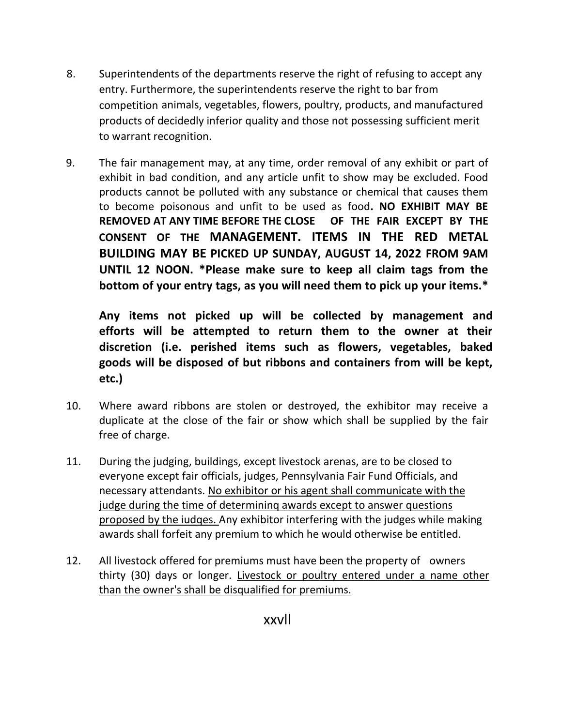- 8. Superintendents of the departments reserve the right of refusing to accept any entry. Furthermore, the superintendents reserve the right to bar from competition animals, vegetables, flowers, poultry, products, and manufactured products of decidedly inferior quality and those not possessing sufficient merit to warrant recognition.
- 9. The fair management may, at any time, order removal of any exhibit or part of exhibit in bad condition, and any article unfit to show may be excluded. Food products cannot be polluted with any substance or chemical that causes them to become poisonous and unfit to be used as food**. NO EXHIBIT MAY BE REMOVED AT ANY TIME BEFORE THE CLOSE OF THE FAIR EXCEPT BY THE CONSENT OF THE MANAGEMENT. ITEMS IN THE RED METAL BUILDING MAY BE PICKED UP SUNDAY, AUGUST 14, 2022 FROM 9AM UNTIL 12 NOON. \*Please make sure to keep all claim tags from the bottom of your entry tags, as you will need them to pick up your items.\***

**Any items not picked up will be collected by management and efforts will be attempted to return them to the owner at their discretion (i.e. perished items such as flowers, vegetables, baked goods will be disposed of but ribbons and containers from will be kept, etc.)**

- 10. Where award ribbons are stolen or destroyed, the exhibitor may receive a duplicate at the close of the fair or show which shall be supplied by the fair free of charge.
- 11. During the judging, buildings, except livestock arenas, are to be closed to everyone except fair officials, judges, Pennsylvania Fair Fund Officials, and necessary attendants. No exhibitor or his agent shall communicate with the judge during the time of determininq awards except to answer questions proposed by the iudqes. Any exhibitor interfering with the judges while making awards shall forfeit any premium to which he would otherwise be entitled.
- 12. All livestock offered for premiums must have been the property of owners thirty (30) days or longer. Livestock or poultry entered under a name other than the owner's shall be disqualified for premiums.

xxvll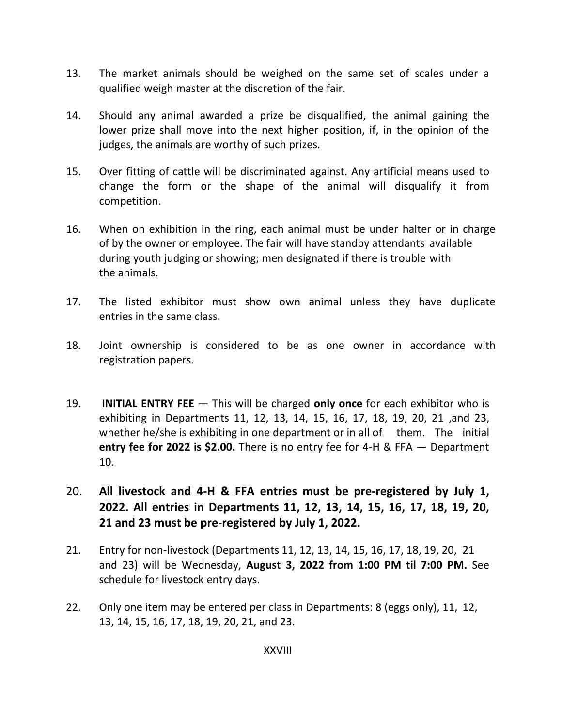- 13. The market animals should be weighed on the same set of scales under a qualified weigh master at the discretion of the fair.
- 14. Should any animal awarded a prize be disqualified, the animal gaining the lower prize shall move into the next higher position, if, in the opinion of the judges, the animals are worthy of such prizes.
- 15. Over fitting of cattle will be discriminated against. Any artificial means used to change the form or the shape of the animal will disqualify it from competition.
- 16. When on exhibition in the ring, each animal must be under halter or in charge of by the owner or employee. The fair will have standby attendants available during youth judging or showing; men designated if there is trouble with the animals.
- 17. The listed exhibitor must show own animal unless they have duplicate entries in the same class.
- 18. Joint ownership is considered to be as one owner in accordance with registration papers.
- 19. **INITIAL ENTRY FEE**  This will be charged **only once** for each exhibitor who is exhibiting in Departments 11, 12, 13, 14, 15, 16, 17, 18, 19, 20, 21 ,and 23, whether he/she is exhibiting in one department or in all of them. The initial **entry fee for 2022 is \$2.00.** There is no entry fee for 4-H & FFA — Department 10.
- 20. **All livestock and 4-H & FFA entries must be pre-registered by July 1, 2022. All entries in Departments 11, 12, 13, 14, 15, 16, 17, 18, 19, 20, 21 and 23 must be pre-registered by July 1, 2022.**
- 21. Entry for non-livestock (Departments 11, 12, 13, 14, 15, 16, 17, 18, 19, 20, 21 and 23) will be Wednesday, **August 3, 2022 from 1:00 PM til 7:00 PM.** See schedule for livestock entry days.
- 22. Only one item may be entered per class in Departments: 8 (eggs only), 11, 12, 13, 14, 15, 16, 17, 18, 19, 20, 21, and 23.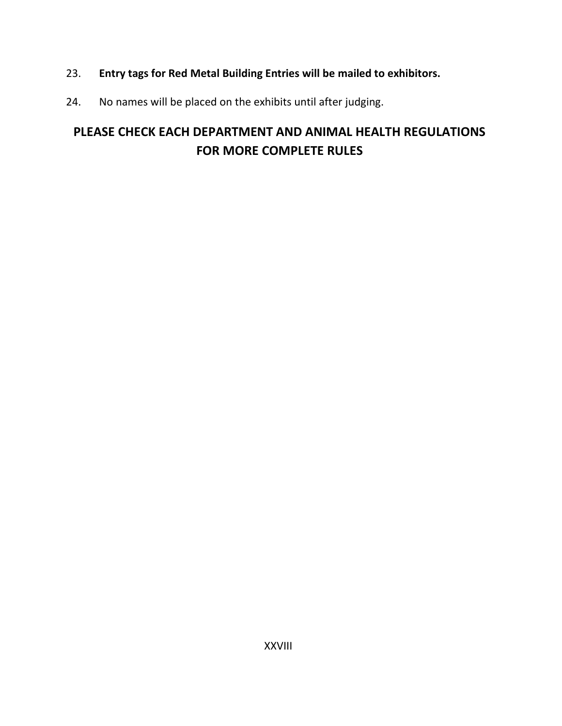- 23. **Entry tags for Red Metal Building Entries will be mailed to exhibitors.**
- 24. No names will be placed on the exhibits until after judging.

## **PLEASE CHECK EACH DEPARTMENT AND ANIMAL HEALTH REGULATIONS FOR MORE COMPLETE RULES**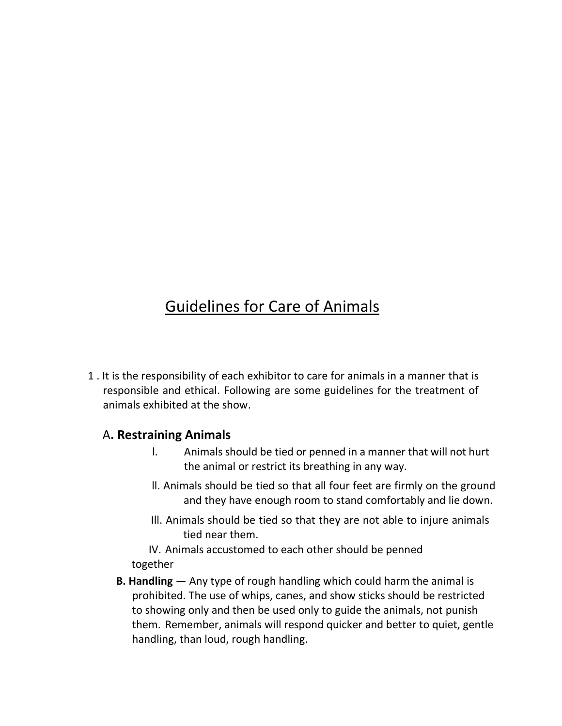## Guidelines for Care of Animals

1 . It is the responsibility of each exhibitor to care for animals in a manner that is responsible and ethical. Following are some guidelines for the treatment of animals exhibited at the show.

#### A**. Restraining Animals**

- l. Animals should be tied or penned in a manner that will not hurt the animal or restrict its breathing in any way.
- ll. Animals should be tied so that all four feet are firmly on the ground and they have enough room to stand comfortably and lie down.
- Ill. Animals should be tied so that they are not able to injure animals tied near them.

IV. Animals accustomed to each other should be penned together

**B. Handling** — Any type of rough handling which could harm the animal is prohibited. The use of whips, canes, and show sticks should be restricted to showing only and then be used only to guide the animals, not punish them. Remember, animals will respond quicker and better to quiet, gentle handling, than loud, rough handling.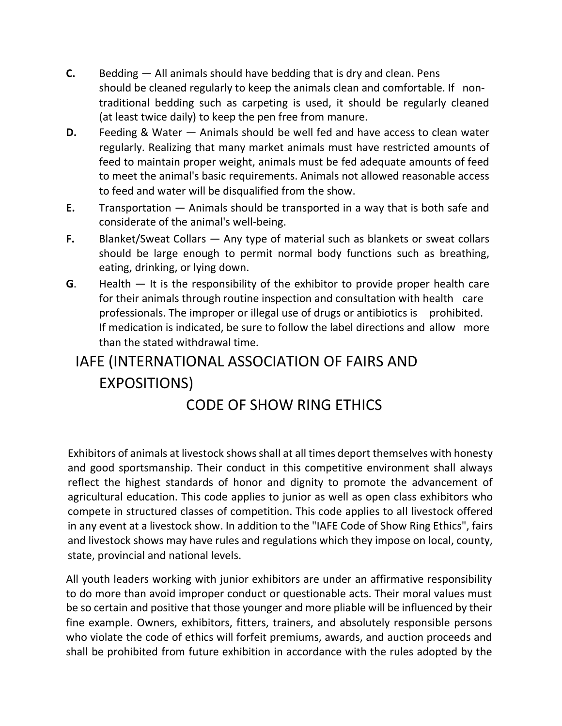- **C.** Bedding All animals should have bedding that is dry and clean. Pens should be cleaned regularly to keep the animals clean and comfortable. If nontraditional bedding such as carpeting is used, it should be regularly cleaned (at least twice daily) to keep the pen free from manure.
- **D.** Feeding & Water Animals should be well fed and have access to clean water regularly. Realizing that many market animals must have restricted amounts of feed to maintain proper weight, animals must be fed adequate amounts of feed to meet the animal's basic requirements. Animals not allowed reasonable access to feed and water will be disqualified from the show.
- **E.** Transportation Animals should be transported in a way that is both safe and considerate of the animal's well-being.
- **F.** Blanket/Sweat Collars Any type of material such as blankets or sweat collars should be large enough to permit normal body functions such as breathing, eating, drinking, or lying down.
- **G**. Health It is the responsibility of the exhibitor to provide proper health care for their animals through routine inspection and consultation with health care professionals. The improper or illegal use of drugs or antibiotics is prohibited. If medication is indicated, be sure to follow the label directions and allow more than the stated withdrawal time.

# IAFE (INTERNATIONAL ASSOCIATION OF FAIRS AND EXPOSITIONS)

## CODE OF SHOW RING ETHICS

Exhibitors of animals at livestock shows shall at all times deport themselves with honesty and good sportsmanship. Their conduct in this competitive environment shall always reflect the highest standards of honor and dignity to promote the advancement of agricultural education. This code applies to junior as well as open class exhibitors who compete in structured classes of competition. This code applies to all livestock offered in any event at a livestock show. In addition to the "IAFE Code of Show Ring Ethics", fairs and livestock shows may have rules and regulations which they impose on local, county, state, provincial and national levels.

All youth leaders working with junior exhibitors are under an affirmative responsibility to do more than avoid improper conduct or questionable acts. Their moral values must be so certain and positive that those younger and more pliable will be influenced by their fine example. Owners, exhibitors, fitters, trainers, and absolutely responsible persons who violate the code of ethics will forfeit premiums, awards, and auction proceeds and shall be prohibited from future exhibition in accordance with the rules adopted by the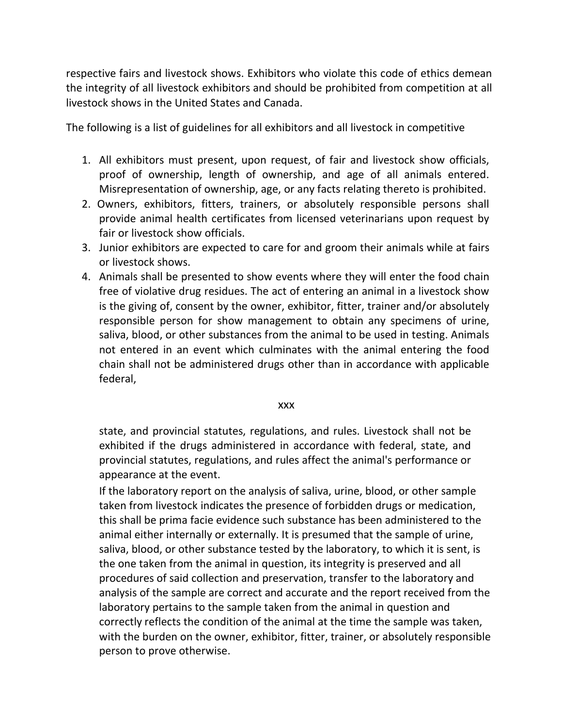respective fairs and livestock shows. Exhibitors who violate this code of ethics demean the integrity of all livestock exhibitors and should be prohibited from competition at all livestock shows in the United States and Canada.

The following is a list of guidelines for all exhibitors and all livestock in competitive

- 1. All exhibitors must present, upon request, of fair and livestock show officials, proof of ownership, length of ownership, and age of all animals entered. Misrepresentation of ownership, age, or any facts relating thereto is prohibited.
- 2. Owners, exhibitors, fitters, trainers, or absolutely responsible persons shall provide animal health certificates from licensed veterinarians upon request by fair or livestock show officials.
- 3. Junior exhibitors are expected to care for and groom their animals while at fairs or livestock shows.
- 4. Animals shall be presented to show events where they will enter the food chain free of violative drug residues. The act of entering an animal in a livestock show is the giving of, consent by the owner, exhibitor, fitter, trainer and/or absolutely responsible person for show management to obtain any specimens of urine, saliva, blood, or other substances from the animal to be used in testing. Animals not entered in an event which culminates with the animal entering the food chain shall not be administered drugs other than in accordance with applicable federal,

xxx

state, and provincial statutes, regulations, and rules. Livestock shall not be exhibited if the drugs administered in accordance with federal, state, and provincial statutes, regulations, and rules affect the animal's performance or appearance at the event.

If the laboratory report on the analysis of saliva, urine, blood, or other sample taken from livestock indicates the presence of forbidden drugs or medication, this shall be prima facie evidence such substance has been administered to the animal either internally or externally. It is presumed that the sample of urine, saliva, blood, or other substance tested by the laboratory, to which it is sent, is the one taken from the animal in question, its integrity is preserved and all procedures of said collection and preservation, transfer to the laboratory and analysis of the sample are correct and accurate and the report received from the laboratory pertains to the sample taken from the animal in question and correctly reflects the condition of the animal at the time the sample was taken, with the burden on the owner, exhibitor, fitter, trainer, or absolutely responsible person to prove otherwise.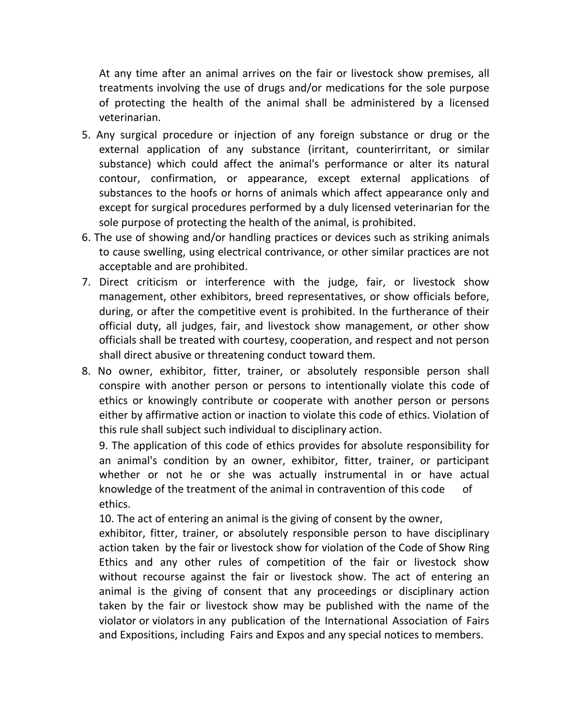At any time after an animal arrives on the fair or livestock show premises, all treatments involving the use of drugs and/or medications for the sole purpose of protecting the health of the animal shall be administered by a licensed veterinarian.

- 5. Any surgical procedure or injection of any foreign substance or drug or the external application of any substance (irritant, counterirritant, or similar substance) which could affect the animal's performance or alter its natural contour, confirmation, or appearance, except external applications of substances to the hoofs or horns of animals which affect appearance only and except for surgical procedures performed by a duly licensed veterinarian for the sole purpose of protecting the health of the animal, is prohibited.
- 6. The use of showing and/or handling practices or devices such as striking animals to cause swelling, using electrical contrivance, or other similar practices are not acceptable and are prohibited.
- 7. Direct criticism or interference with the judge, fair, or livestock show management, other exhibitors, breed representatives, or show officials before, during, or after the competitive event is prohibited. In the furtherance of their official duty, all judges, fair, and livestock show management, or other show officials shall be treated with courtesy, cooperation, and respect and not person shall direct abusive or threatening conduct toward them.
- 8. No owner, exhibitor, fitter, trainer, or absolutely responsible person shall conspire with another person or persons to intentionally violate this code of ethics or knowingly contribute or cooperate with another person or persons either by affirmative action or inaction to violate this code of ethics. Violation of this rule shall subject such individual to disciplinary action.

9. The application of this code of ethics provides for absolute responsibility for an animal's condition by an owner, exhibitor, fitter, trainer, or participant whether or not he or she was actually instrumental in or have actual knowledge of the treatment of the animal in contravention of this code of ethics.

10. The act of entering an animal is the giving of consent by the owner,

exhibitor, fitter, trainer, or absolutely responsible person to have disciplinary action taken by the fair or livestock show for violation of the Code of Show Ring Ethics and any other rules of competition of the fair or livestock show without recourse against the fair or livestock show. The act of entering an animal is the giving of consent that any proceedings or disciplinary action taken by the fair or livestock show may be published with the name of the violator or violators in any publication of the International Association of Fairs and Expositions, including Fairs and Expos and any special notices to members.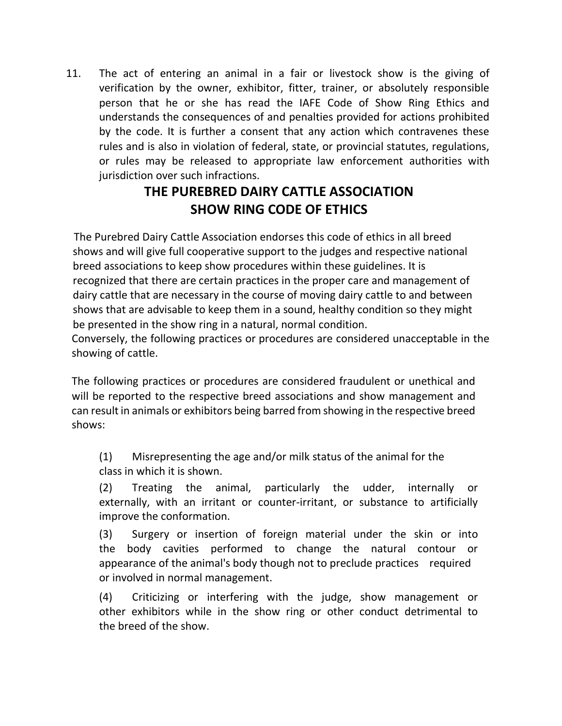11. The act of entering an animal in a fair or livestock show is the giving of verification by the owner, exhibitor, fitter, trainer, or absolutely responsible person that he or she has read the IAFE Code of Show Ring Ethics and understands the consequences of and penalties provided for actions prohibited by the code. It is further a consent that any action which contravenes these rules and is also in violation of federal, state, or provincial statutes, regulations, or rules may be released to appropriate law enforcement authorities with jurisdiction over such infractions.

## **THE PUREBRED DAIRY CATTLE ASSOCIATION SHOW RING CODE OF ETHICS**

The Purebred Dairy Cattle Association endorses this code of ethics in all breed shows and will give full cooperative support to the judges and respective national breed associations to keep show procedures within these guidelines. It is recognized that there are certain practices in the proper care and management of dairy cattle that are necessary in the course of moving dairy cattle to and between shows that are advisable to keep them in a sound, healthy condition so they might be presented in the show ring in a natural, normal condition.

Conversely, the following practices or procedures are considered unacceptable in the showing of cattle.

The following practices or procedures are considered fraudulent or unethical and will be reported to the respective breed associations and show management and can result in animals or exhibitors being barred from showing in the respective breed shows:

(1) Misrepresenting the age and/or milk status of the animal for the class in which it is shown.

(2) Treating the animal, particularly the udder, internally or externally, with an irritant or counter-irritant, or substance to artificially improve the conformation.

(3) Surgery or insertion of foreign material under the skin or into the body cavities performed to change the natural contour or appearance of the animal's body though not to preclude practices required or involved in normal management.

(4) Criticizing or interfering with the judge, show management or other exhibitors while in the show ring or other conduct detrimental to the breed of the show.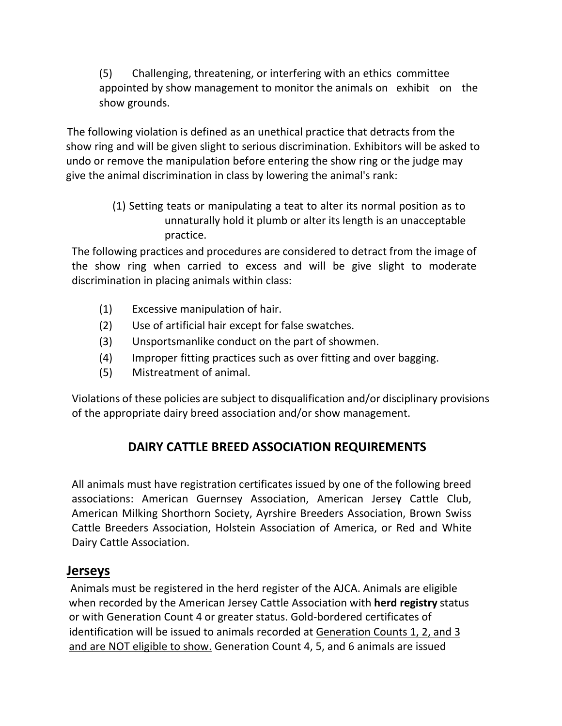(5) Challenging, threatening, or interfering with an ethics committee appointed by show management to monitor the animals on exhibit on the show grounds.

The following violation is defined as an unethical practice that detracts from the show ring and will be given slight to serious discrimination. Exhibitors will be asked to undo or remove the manipulation before entering the show ring or the judge may give the animal discrimination in class by lowering the animal's rank:

> (1) Setting teats or manipulating a teat to alter its normal position as to unnaturally hold it plumb or alter its length is an unacceptable practice.

The following practices and procedures are considered to detract from the image of the show ring when carried to excess and will be give slight to moderate discrimination in placing animals within class:

- (1) Excessive manipulation of hair.
- (2) Use of artificial hair except for false swatches.
- (3) Unsportsmanlike conduct on the part of showmen.
- (4) Improper fitting practices such as over fitting and over bagging.
- (5) Mistreatment of animal.

Violations of these policies are subject to disqualification and/or disciplinary provisions of the appropriate dairy breed association and/or show management.

### **DAIRY CATTLE BREED ASSOCIATION REQUIREMENTS**

All animals must have registration certificates issued by one of the following breed associations: American Guernsey Association, American Jersey Cattle Club, American Milking Shorthorn Society, Ayrshire Breeders Association, Brown Swiss Cattle Breeders Association, Holstein Association of America, or Red and White Dairy Cattle Association.

#### **Jerseys**

Animals must be registered in the herd register of the AJCA. Animals are eligible when recorded by the American Jersey Cattle Association with **herd registry** status or with Generation Count 4 or greater status. Gold-bordered certificates of identification will be issued to animals recorded at Generation Counts 1, 2, and 3 and are NOT eligible to show. Generation Count 4, 5, and 6 animals are issued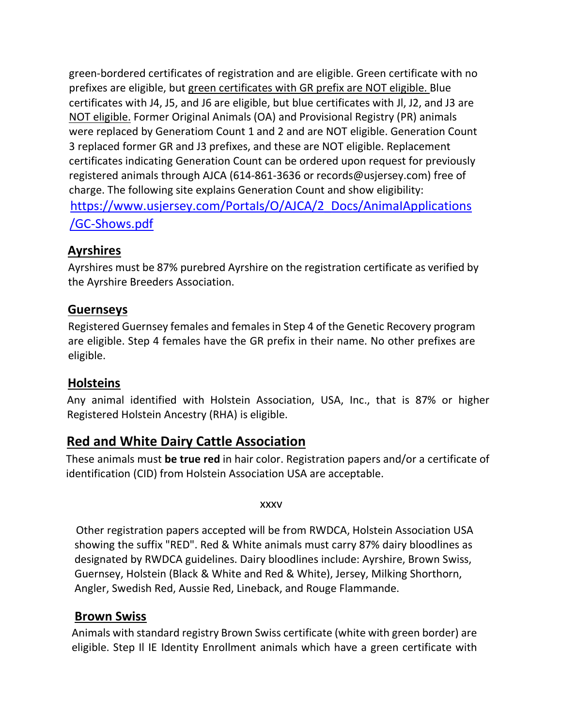green-bordered certificates of registration and are eligible. Green certificate with no prefixes are eligible, but green certificates with GR prefix are NOT eligible. Blue certificates with J4, J5, and J6 are eligible, but blue certificates with Jl, J2, and J3 are NOT eligible. Former Original Animals (OA) and Provisional Registry (PR) animals were replaced by Generatiom Count 1 and 2 and are NOT eligible. Generation Count 3 replaced former GR and J3 prefixes, and these are NOT eligible. Replacement certificates indicating Generation Count can be ordered upon request for previously registered animals through AJCA (614-861-3636 or records@usjersey.com) free of charge. The following site explains Generation Count and show eligibility: [https://www.usjersey.com/PortaIs/O/AJCA/2\\_Docs/AnimaIApplications](https://www.usjersey.com/PortaIs/O/AJCA/2_Docs/AnimaIApplications/GC-Shows.pdf) [/GC-Shows.pdf](https://www.usjersey.com/PortaIs/O/AJCA/2_Docs/AnimaIApplications/GC-Shows.pdf)

#### **Ayrshires**

Ayrshires must be 87% purebred Ayrshire on the registration certificate as verified by the Ayrshire Breeders Association.

#### **Guernseys**

Registered Guernsey females and females in Step 4 of the Genetic Recovery program are eligible. Step 4 females have the GR prefix in their name. No other prefixes are eligible.

#### **Holsteins**

Any animal identified with Holstein Association, USA, Inc., that is 87% or higher Registered Holstein Ancestry (RHA) is eligible.

#### **Red and White Dairy Cattle Association**

These animals must **be true red** in hair color. Registration papers and/or a certificate of identification (CID) from Holstein Association USA are acceptable.

xxxv

Other registration papers accepted will be from RWDCA, Holstein Association USA showing the suffix "RED". Red & White animals must carry 87% dairy bloodlines as designated by RWDCA guidelines. Dairy bloodlines include: Ayrshire, Brown Swiss, Guernsey, Holstein (Black & White and Red & White), Jersey, Milking Shorthorn, Angler, Swedish Red, Aussie Red, Lineback, and Rouge Flammande.

#### **Brown Swiss**

Animals with standard registry Brown Swiss certificate (white with green border) are eligible. Step Il IE Identity Enrollment animals which have a green certificate with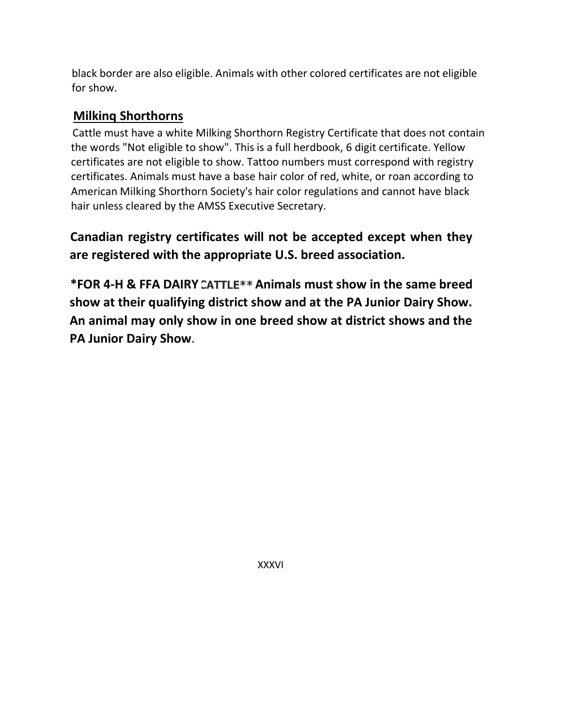black border are also eligible. Animals with other colored certificates are not eligible for show.

#### **Milkinq Shorthorns**

Cattle must have a white Milking Shorthorn Registry Certificate that does not contain the words "Not eligible to show". This is a full herdbook, 6 digit certificate. Yellow certificates are not eligible to show. Tattoo numbers must correspond with registry certificates. Animals must have a base hair color of red, white, or roan according to American Milking Shorthorn Society's hair color regulations and cannot have black hair unless cleared by the AMSS Executive Secretary.

**Canadian registry certificates will not be accepted except when they are registered with the appropriate U.S. breed association.**

**\*FOR 4-H & FFA DAIRY Animals must show in the same breed show at their qualifying district show and at the PA Junior Dairy Show. An animal may only show in one breed show at district shows and the PA Junior Dairy Show**.

XXXVI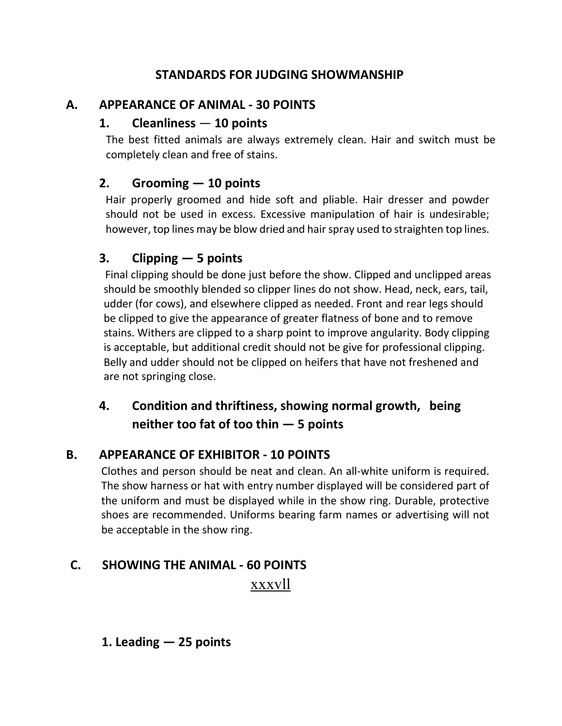#### **STANDARDS FOR JUDGING SHOWMANSHIP**

#### **A. APPEARANCE OF ANIMAL - 30 POINTS**

#### **1. Cleanliness** — **10 points**

The best fitted animals are always extremely clean. Hair and switch must be completely clean and free of stains.

#### **2. Grooming — 10 points**

Hair properly groomed and hide soft and pliable. Hair dresser and powder should not be used in excess. Excessive manipulation of hair is undesirable; however, top lines may be blow dried and hair spray used to straighten top lines.

#### **3. Clipping — 5 points**

Final clipping should be done just before the show. Clipped and unclipped areas should be smoothly blended so clipper lines do not show. Head, neck, ears, tail, udder (for cows), and elsewhere clipped as needed. Front and rear legs should be clipped to give the appearance of greater flatness of bone and to remove stains. Withers are clipped to a sharp point to improve angularity. Body clipping is acceptable, but additional credit should not be give for professional clipping. Belly and udder should not be clipped on heifers that have not freshened and are not springing close.

#### **4. Condition and thriftiness, showing normal growth, being neither too fat of too thin — 5 points**

#### **B. APPEARANCE OF EXHIBITOR - 10 POINTS**

Clothes and person should be neat and clean. An all-white uniform is required. The show harness or hat with entry number displayed will be considered part of the uniform and must be displayed while in the show ring. Durable, protective shoes are recommended. Uniforms bearing farm names or advertising will not be acceptable in the show ring.

#### **C. SHOWING THE ANIMAL - 60 POINTS**

xxxvll

#### **1. Leading — 25 points**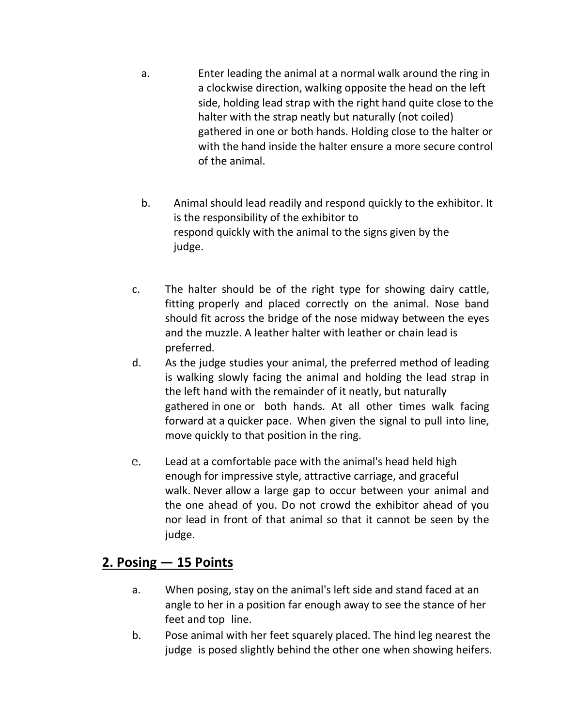- a. Enter leading the animal at a normal walk around the ring in a clockwise direction, walking opposite the head on the left side, holding lead strap with the right hand quite close to the halter with the strap neatly but naturally (not coiled) gathered in one or both hands. Holding close to the halter or with the hand inside the halter ensure a more secure control of the animal.
- b. Animal should lead readily and respond quickly to the exhibitor. It is the responsibility of the exhibitor to respond quickly with the animal to the signs given by the judge.
- c. The halter should be of the right type for showing dairy cattle, fitting properly and placed correctly on the animal. Nose band should fit across the bridge of the nose midway between the eyes and the muzzle. A leather halter with leather or chain lead is preferred.
- d. As the judge studies your animal, the preferred method of leading is walking slowly facing the animal and holding the lead strap in the left hand with the remainder of it neatly, but naturally gathered in one or both hands. At all other times walk facing forward at a quicker pace. When given the signal to pull into line, move quickly to that position in the ring.
- Lead at a comfortable pace with the animal's head held high enough for impressive style, attractive carriage, and graceful walk. Never allow a large gap to occur between your animal and the one ahead of you. Do not crowd the exhibitor ahead of you nor lead in front of that animal so that it cannot be seen by the judge.

#### **2. Posing — 15 Points**

- a. When posing, stay on the animal's left side and stand faced at an angle to her in a position far enough away to see the stance of her feet and top line.
- b. Pose animal with her feet squarely placed. The hind leg nearest the judge is posed slightly behind the other one when showing heifers.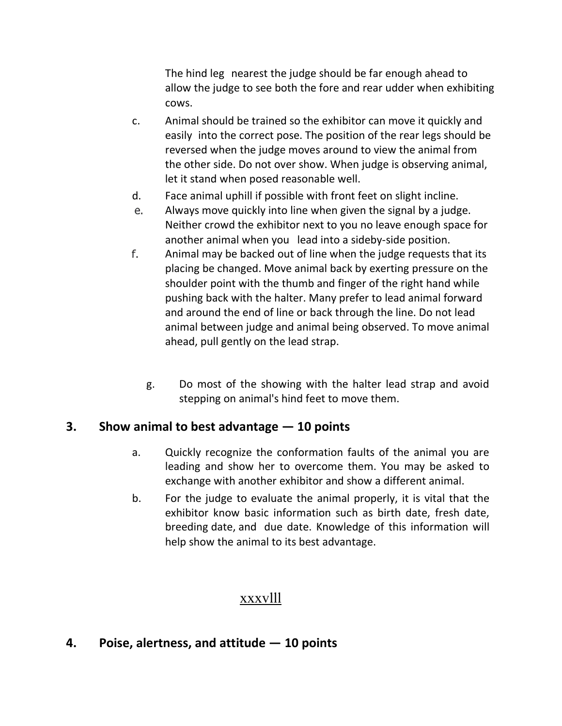The hind leg nearest the judge should be far enough ahead to allow the judge to see both the fore and rear udder when exhibiting cows.

- c. Animal should be trained so the exhibitor can move it quickly and easily into the correct pose. The position of the rear legs should be reversed when the judge moves around to view the animal from the other side. Do not over show. When judge is observing animal, let it stand when posed reasonable well.
- d. Face animal uphill if possible with front feet on slight incline.
- Always move quickly into line when given the signal by a judge. Neither crowd the exhibitor next to you no leave enough space for another animal when you lead into a sideby-side position.
- Animal may be backed out of line when the judge requests that its placing be changed. Move animal back by exerting pressure on the shoulder point with the thumb and finger of the right hand while pushing back with the halter. Many prefer to lead animal forward and around the end of line or back through the line. Do not lead animal between judge and animal being observed. To move animal ahead, pull gently on the lead strap.
	- g. Do most of the showing with the halter lead strap and avoid stepping on animal's hind feet to move them.

#### **3. Show animal to best advantage — 10 points**

- a. Quickly recognize the conformation faults of the animal you are leading and show her to overcome them. You may be asked to exchange with another exhibitor and show a different animal.
- b. For the judge to evaluate the animal properly, it is vital that the exhibitor know basic information such as birth date, fresh date, breeding date, and due date. Knowledge of this information will help show the animal to its best advantage.

#### xxxvlll

#### **4. Poise, alertness, and attitude — 10 points**